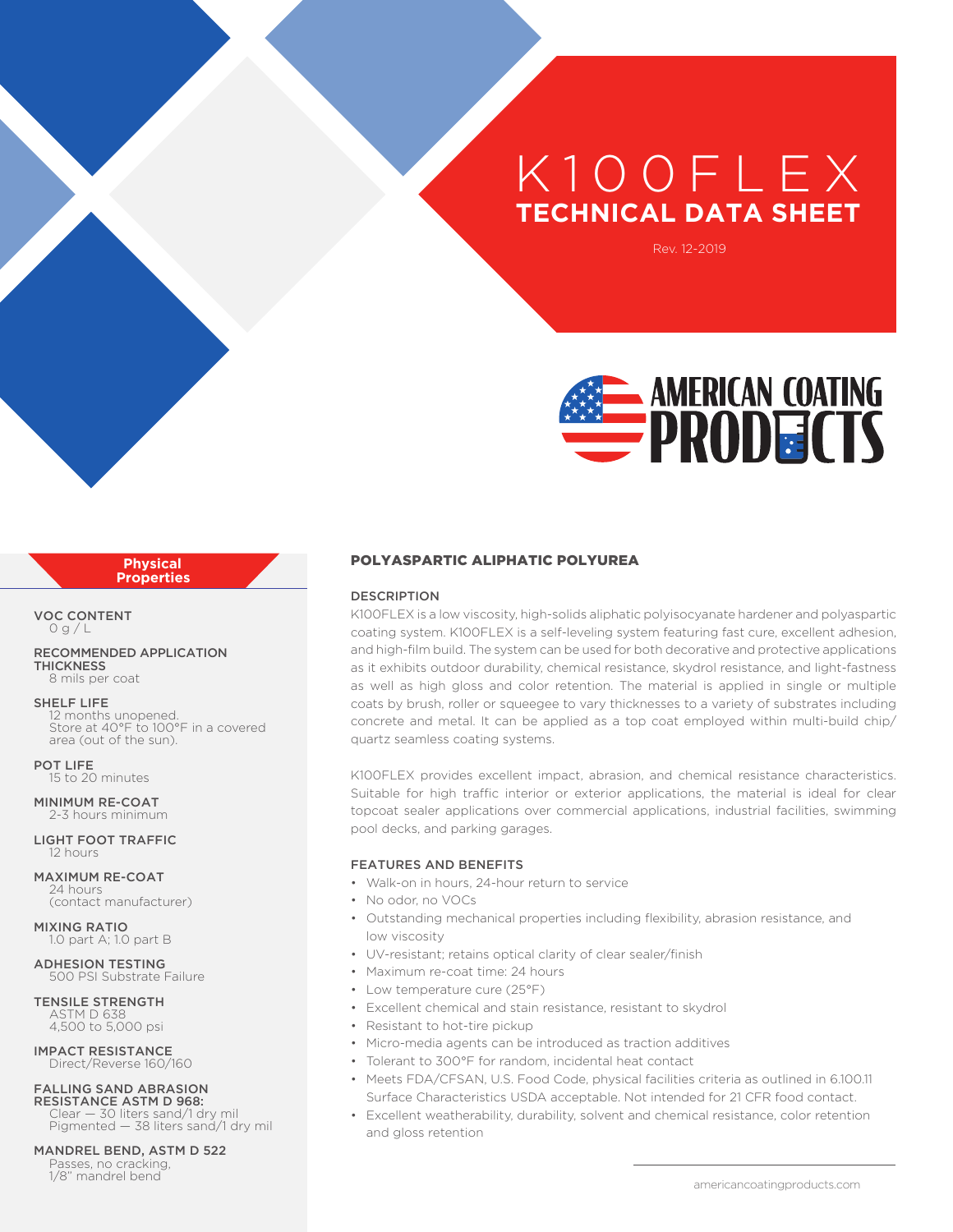# K 100FL E X **TECHNICAL DATA SHEET**

Rev. 12-2019



#### **Physical Properties**

VOC CONTENT  $0a/l$ 

RECOMMENDED APPLICATION **THICKNESS** 8 mils per coat

#### SHELF LIFE

12 months unopened. Store at 40°F to 100°F in a covered area (out of the sun).

POT LIFE 15 to 20 minutes

MINIMUM RE-COAT 2-3 hours minimum

LIGHT FOOT TRAFFIC 12 hours

MAXIMUM RE-COAT 24 hours (contact manufacturer)

MIXING RATIO 1.0 part A; 1.0 part B

ADHESION TESTING 500 PSI Substrate Failure

TENSILE STRENGTH ASTM D 638 4,500 to 5,000 psi

IMPACT RESISTANCE Direct/Reverse 160/160

### FALLING SAND ABRASION

RESISTANCE ASTM D 968: Clear — 30 liters sand/1 dry mil Pigmented — 38 liters sand/1 dry mil

MANDREL BEND, ASTM D 522 Passes, no cracking,<br>1/8" mandrel bend

# POLYASPARTIC ALIPHATIC POLYUREA

#### DESCRIPTION

K100FLEX is a low viscosity, high-solids aliphatic polyisocyanate hardener and polyaspartic coating system. K100FLEX is a self-leveling system featuring fast cure, excellent adhesion, and high-film build. The system can be used for both decorative and protective applications as it exhibits outdoor durability, chemical resistance, skydrol resistance, and light-fastness as well as high gloss and color retention. The material is applied in single or multiple coats by brush, roller or squeegee to vary thicknesses to a variety of substrates including concrete and metal. It can be applied as a top coat employed within multi-build chip/ quartz seamless coating systems.

K100FLEX provides excellent impact, abrasion, and chemical resistance characteristics. Suitable for high traffic interior or exterior applications, the material is ideal for clear topcoat sealer applications over commercial applications, industrial facilities, swimming pool decks, and parking garages.

#### FEATURES AND BENEFITS

- Walk-on in hours, 24-hour return to service
- No odor, no VOCs
- Outstanding mechanical properties including flexibility, abrasion resistance, and low viscosity
- UV-resistant; retains optical clarity of clear sealer/finish
- Maximum re-coat time: 24 hours
- Low temperature cure (25°F)
- Excellent chemical and stain resistance, resistant to skydrol
- Resistant to hot-tire pickup
- Micro-media agents can be introduced as traction additives
- Tolerant to 300°F for random, incidental heat contact
- Meets FDA/CFSAN, U.S. Food Code, physical facilities criteria as outlined in 6.100.11 Surface Characteristics USDA acceptable. Not intended for 21 CFR food contact.
- Excellent weatherability, durability, solvent and chemical resistance, color retention and gloss retention